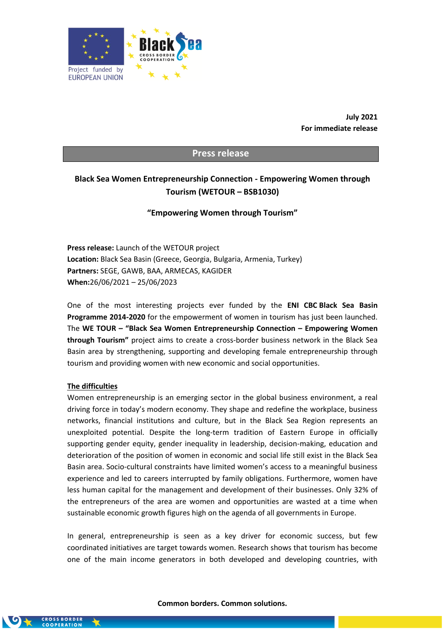

**July 2021 For immediate release**

### **Press release**

# **Black Sea Women Entrepreneurship Connection - Empowering Women through Tourism (WETOUR – BSB1030)**

### **"Empowering Women through Tourism"**

**Press release:** Launch of the WETOUR project **Location:** Black Sea Basin (Greece, Georgia, Bulgaria, Armenia, Turkey) **Partners:** SEGE, GAWB, BAA, ARMECAS, KAGIDER **When:**26/06/2021 – 25/06/2023

One of the most interesting projects ever funded by the **ENI CBC Black Sea Basin Programme 2014-2020** for the empowerment of women in tourism has just been launched. The **WE TOUR – "Black Sea Women Entrepreneurship Connection – Empowering Women through Tourism"** project aims to create a cross-border business network in the Black Sea Basin area by strengthening, supporting and developing female entrepreneurship through tourism and providing women with new economic and social opportunities.

#### **The difficulties**

Women entrepreneurship is an emerging sector in the global business environment, a real driving force in today's modern economy. They shape and redefine the workplace, business networks, financial institutions and culture, but in the Black Sea Region represents an unexploited potential. Despite the long-term tradition of Eastern Europe in officially supporting gender equity, gender inequality in leadership, decision-making, education and deterioration of the position of women in economic and social life still exist in the Black Sea Basin area. Socio-cultural constraints have limited women's access to a meaningful business experience and led to careers interrupted by family obligations. Furthermore, women have less human capital for the management and development of their businesses. Only 32% of the entrepreneurs of the area are women and opportunities are wasted at a time when sustainable economic growth figures high on the agenda of all governments in Europe.

In general, entrepreneurship is seen as a key driver for economic success, but few coordinated initiatives are target towards women. Research shows that tourism has become one of the main income generators in both developed and developing countries, with

#### **Common borders. Common solutions.**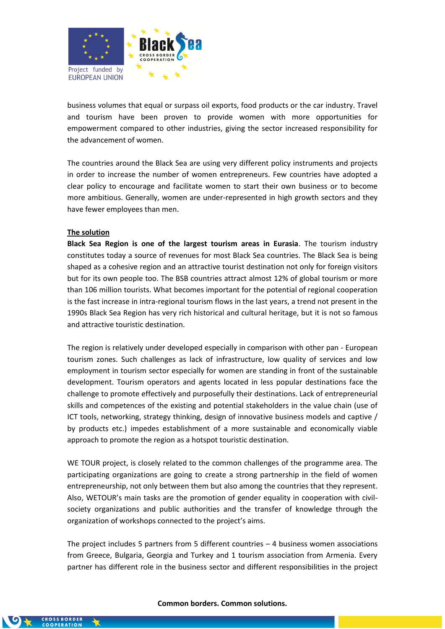

business volumes that equal or surpass oil exports, food products or the car industry. Travel and tourism have been proven to provide women with more opportunities for empowerment compared to other industries, giving the sector increased responsibility for the advancement of women.

The countries around the Black Sea are using very different policy instruments and projects in order to increase the number of women entrepreneurs. Few countries have adopted a clear policy to encourage and facilitate women to start their own business or to become more ambitious. Generally, women are under-represented in high growth sectors and they have fewer employees than men.

### **The solution**

**Black Sea Region is one of the largest tourism areas in Eurasia**. The tourism industry constitutes today a source of revenues for most Black Sea countries. The Black Sea is being shaped as a cohesive region and an attractive tourist destination not only for foreign visitors but for its own people too. The BSB countries attract almost 12% of global tourism or more than 106 million tourists. What becomes important for the potential of regional cooperation is the fast increase in intra-regional tourism flows in the last years, a trend not present in the 1990s Black Sea Region has very rich historical and cultural heritage, but it is not so famous and attractive touristic destination.

The region is relatively under developed especially in comparison with other pan - European tourism zones. Such challenges as lack of infrastructure, low quality of services and low employment in tourism sector especially for women are standing in front of the sustainable development. Tourism operators and agents located in less popular destinations face the challenge to promote effectively and purposefully their destinations. Lack of entrepreneurial skills and competences of the existing and potential stakeholders in the value chain (use of ICT tools, networking, strategy thinking, design of innovative business models and captive / by products etc.) impedes establishment of a more sustainable and economically viable approach to promote the region as a hotspot touristic destination.

WE TOUR project, is closely related to the common challenges of the programme area. The participating organizations are going to create a strong partnership in the field of women entrepreneurship, not only between them but also among the countries that they represent. Also, WETOUR's main tasks are the promotion of gender equality in cooperation with civilsociety organizations and public authorities and the transfer of knowledge through the organization of workshops connected to the project's aims.

The project includes 5 partners from 5 different countries – 4 business women associations from Greece, Bulgaria, Georgia and Turkey and 1 tourism association from Armenia. Every partner has different role in the business sector and different responsibilities in the project

#### **Common borders. Common solutions.**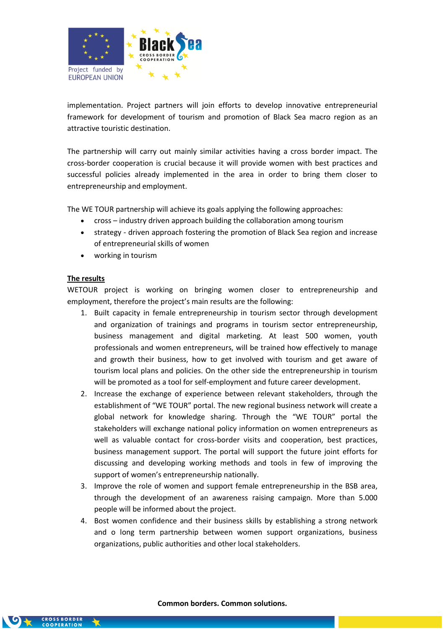

implementation. Project partners will join efforts to develop innovative entrepreneurial framework for development of tourism and promotion of Black Sea macro region as an attractive touristic destination.

The partnership will carry out mainly similar activities having a cross border impact. The cross-border cooperation is crucial because it will provide women with best practices and successful policies already implemented in the area in order to bring them closer to entrepreneurship and employment.

The WE TOUR partnership will achieve its goals applying the following approaches:

- cross industry driven approach building the collaboration among tourism
- strategy driven approach fostering the promotion of Black Sea region and increase of entrepreneurial skills of women
- working in tourism

### **The results**

WETOUR project is working on bringing women closer to entrepreneurship and employment, therefore the project's main results are the following:

- 1. Built capacity in female entrepreneurship in tourism sector through development and organization of trainings and programs in tourism sector entrepreneurship, business management and digital marketing. At least 500 women, youth professionals and women entrepreneurs, will be trained how effectively to manage and growth their business, how to get involved with tourism and get aware of tourism local plans and policies. On the other side the entrepreneurship in tourism will be promoted as a tool for self-employment and future career development.
- 2. Increase the exchange of experience between relevant stakeholders, through the establishment of "WE TOUR" portal. The new regional business network will create a global network for knowledge sharing. Through the "WE TOUR" portal the stakeholders will exchange national policy information on women entrepreneurs as well as valuable contact for cross-border visits and cooperation, best practices, business management support. The portal will support the future joint efforts for discussing and developing working methods and tools in few of improving the support of women's entrepreneurship nationally.
- 3. Improve the role of women and support female entrepreneurship in the BSB area, through the development of an awareness raising campaign. More than 5.000 people will be informed about the project.
- 4. Bost women confidence and their business skills by establishing a strong network and o long term partnership between women support organizations, business organizations, public authorities and other local stakeholders.